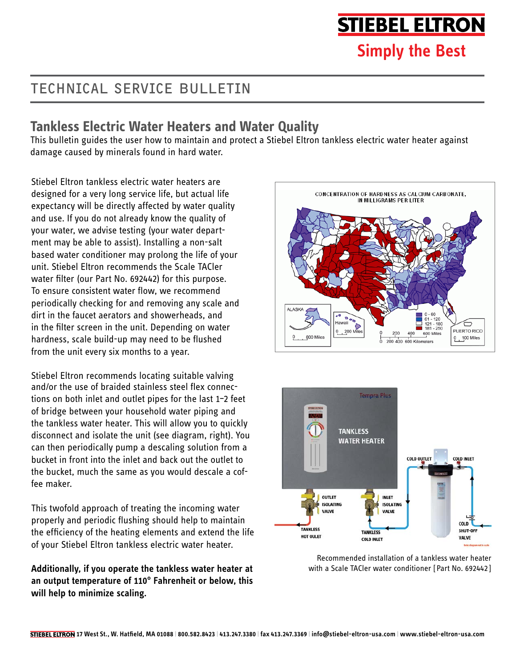# **STIEBEL ELTRON**

## **Simply the Best**

## TECHNICAL SERVICE BULLETIN

#### **Tankless Electric Water Heaters and Water Quality**

This bulletin guides the user how to maintain and protect a Stiebel Eltron tankless electric water heater against damage caused by minerals found in hard water.

Stiebel Eltron tankless electric water heaters are designed for a very long service life, but actual life expectancy will be directly affected by water quality and use. If you do not already know the quality of your water, we advise testing (your water department may be able to assist). Installing a non-salt based water conditioner may prolong the life of your unit. Stiebel Eltron recommends the Scale TACler water filter (our Part No. 692442) for this purpose. To ensure consistent water flow, we recommend periodically checking for and removing any scale and dirt in the faucet aerators and showerheads, and in the filter screen in the unit. Depending on water hardness, scale build-up may need to be flushed from the unit every six months to a year.

Stiebel Eltron recommends locating suitable valving and/or the use of braided stainless steel flex connections on both inlet and outlet pipes for the last 1–2 feet of bridge between your household water piping and the tankless water heater. This will allow you to quickly disconnect and isolate the unit (see diagram, right). You can then periodically pump a descaling solution from a bucket in front into the inlet and back out the outlet to the bucket, much the same as you would descale a coffee maker.

This twofold approach of treating the incoming water properly and periodic flushing should help to maintain the efficiency of the heating elements and extend the life of your Stiebel Eltron tankless electric water heater.

**Additionally, if you operate the tankless water heater at an output temperature of 110° Fahrenheit or below, this will help to minimize scaling.**





Recommended installation of a tankless water heater with a Scale TACler water conditioner [Part No. 692442 ]